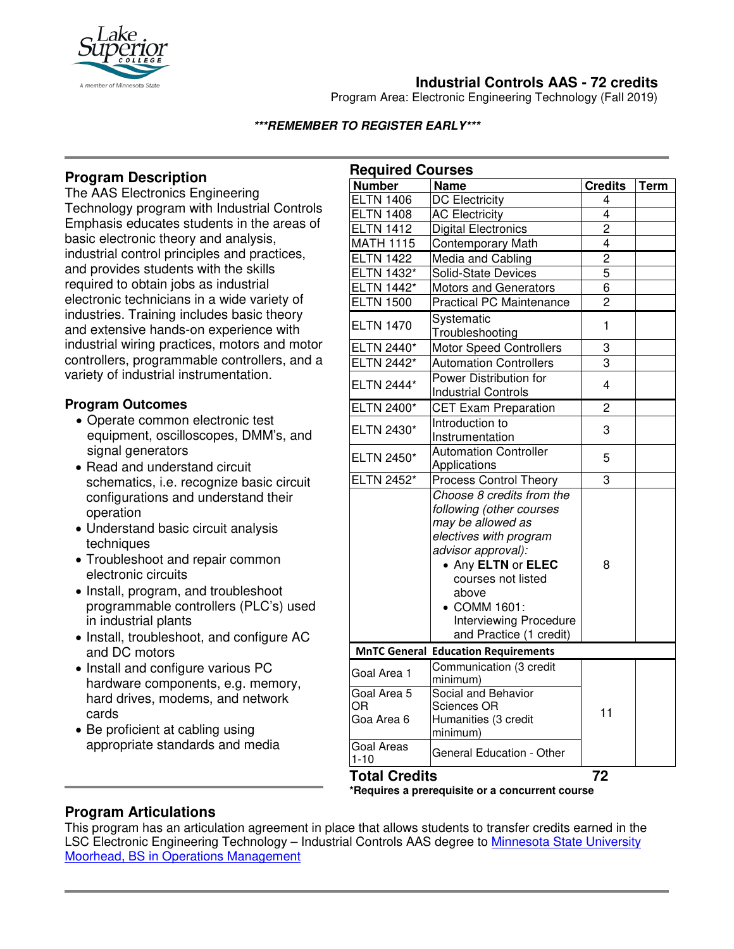

# **Industrial Controls AAS - 72 credits**

Program Area: Electronic Engineering Technology (Fall 2019)

#### **\*\*\*REMEMBER TO REGISTER EARLY\*\*\***

## **Program Description**

The AAS Electronics Engineering Technology program with Industrial Controls Emphasis educates students in the areas of basic electronic theory and analysis, industrial control principles and practices, and provides students with the skills required to obtain jobs as industrial electronic technicians in a wide variety of industries. Training includes basic theory and extensive hands-on experience with industrial wiring practices, motors and motor controllers, programmable controllers, and a variety of industrial instrumentation.

### **Program Outcomes**

- Operate common electronic test equipment, oscilloscopes, DMM's, and signal generators
- Read and understand circuit schematics, i.e. recognize basic circuit configurations and understand their operation
- Understand basic circuit analysis techniques
- Troubleshoot and repair common electronic circuits
- Install, program, and troubleshoot programmable controllers (PLC's) used in industrial plants
- Install, troubleshoot, and configure AC and DC motors
- Install and configure various PC hardware components, e.g. memory, hard drives, modems, and network cards
- Be proficient at cabling using appropriate standards and media

| <b>Required Courses</b>         |                                                                                                                                                                                                                                                             |                         |      |
|---------------------------------|-------------------------------------------------------------------------------------------------------------------------------------------------------------------------------------------------------------------------------------------------------------|-------------------------|------|
| <b>Number</b>                   | <b>Name</b>                                                                                                                                                                                                                                                 | <b>Credits</b>          | Term |
| <b>ELTN 1406</b>                | <b>DC Electricity</b>                                                                                                                                                                                                                                       | 4                       |      |
| <b>ELTN 1408</b>                | <b>AC Electricity</b>                                                                                                                                                                                                                                       | $\overline{4}$          |      |
| <b>ELTN 1412</b>                | <b>Digital Electronics</b>                                                                                                                                                                                                                                  | $\overline{2}$          |      |
| <b>MATH 1115</b>                | <b>Contemporary Math</b>                                                                                                                                                                                                                                    | $\overline{\mathbf{4}}$ |      |
| <b>ELTN 1422</b>                | Media and Cabling                                                                                                                                                                                                                                           | $\overline{2}$          |      |
| <b>ELTN 1432*</b>               | Solid-State Devices                                                                                                                                                                                                                                         | 5                       |      |
| <b>ELTN 1442*</b>               | <b>Motors and Generators</b>                                                                                                                                                                                                                                | $\overline{6}$          |      |
| <b>ELTN 1500</b>                | <b>Practical PC Maintenance</b>                                                                                                                                                                                                                             | $\overline{2}$          |      |
| <b>ELTN 1470</b>                | Svstematic<br>Troubleshooting                                                                                                                                                                                                                               | 1                       |      |
| ELTN 2440*                      | <b>Motor Speed Controllers</b>                                                                                                                                                                                                                              | 3                       |      |
| ELTN 2442*                      | <b>Automation Controllers</b>                                                                                                                                                                                                                               | 3                       |      |
| ELTN 2444*                      | Power Distribution for<br><b>Industrial Controls</b>                                                                                                                                                                                                        | 4                       |      |
| ELTN 2400*                      | <b>CET Exam Preparation</b>                                                                                                                                                                                                                                 | $\overline{c}$          |      |
| ELTN 2430*                      | Introduction to<br>Instrumentation                                                                                                                                                                                                                          | 3                       |      |
| ELTN 2450*                      | <b>Automation Controller</b><br>Applications                                                                                                                                                                                                                | 5                       |      |
| ELTN 2452*                      | <b>Process Control Theory</b>                                                                                                                                                                                                                               | 3                       |      |
|                                 | Choose 8 credits from the<br>following (other courses<br>may be allowed as<br>electives with program<br>advisor approval):<br>• Any ELTN or ELEC<br>courses not listed<br>above<br>• COMM 1601:<br><b>Interviewing Procedure</b><br>and Practice (1 credit) | 8                       |      |
|                                 | <b>MnTC General Education Requirements</b>                                                                                                                                                                                                                  |                         |      |
| Goal Area 1                     | Communication (3 credit<br>minimum)                                                                                                                                                                                                                         | 11                      |      |
| Goal Area 5<br>ΟR<br>Goa Area 6 | Social and Behavior<br><b>Sciences OR</b><br>Humanities (3 credit                                                                                                                                                                                           |                         |      |
| <b>Goal Areas</b><br>$1 - 10$   | minimum)<br>General Education - Other                                                                                                                                                                                                                       |                         |      |
| <b>Total Credits</b>            |                                                                                                                                                                                                                                                             | 72                      |      |

**\*Requires a prerequisite or a concurrent course**

### **Program Articulations**

This program has an articulation agreement in place that allows students to transfer credits earned in the LSC Electronic Engineering Technology - Industrial Controls AAS degree to Minnesota State University [Moorhead, BS in Operations Management](http://www.mntransfer.org/download.php?id=4813)